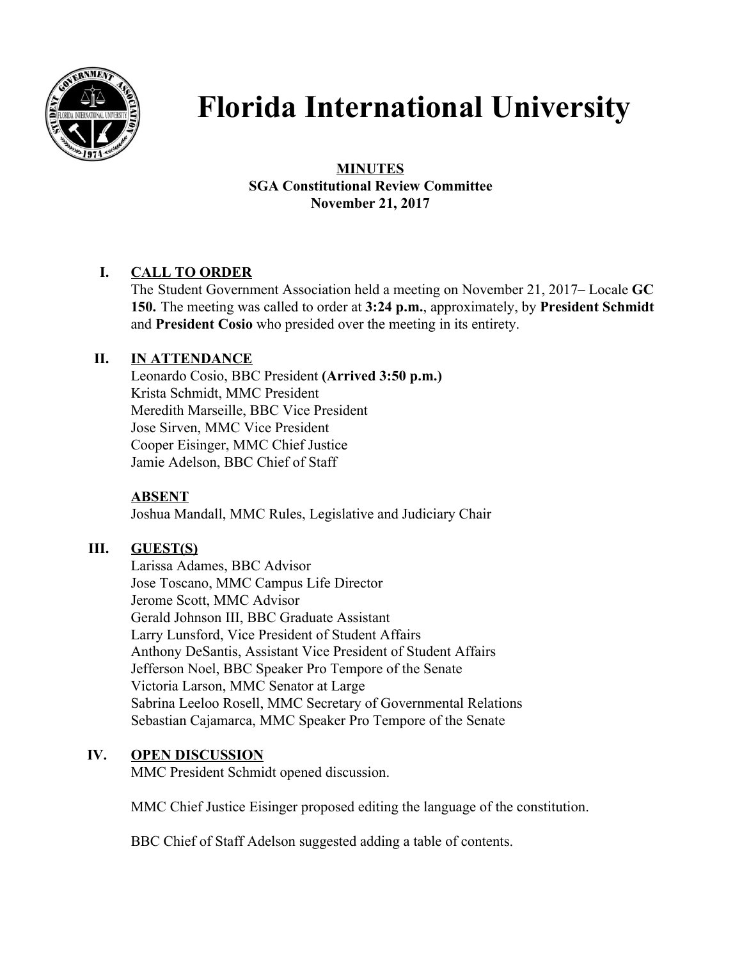

# **Florida International University**

## **MINUTES SGA Constitutional Review Committee November 21, 2017**

# **I. CALL TO ORDER**

The Student Government Association held a meeting on November 21, 2017– Locale **GC 150.** The meeting was called to order at **3:24 p.m.**, approximately, by **President Schmidt** and **President Cosio** who presided over the meeting in its entirety.

## **II. IN ATTENDANCE**

Leonardo Cosio, BBC President **(Arrived 3:50 p.m.)** Krista Schmidt, MMC President Meredith Marseille, BBC Vice President Jose Sirven, MMC Vice President Cooper Eisinger, MMC Chief Justice Jamie Adelson, BBC Chief of Staff

## **ABSENT**

Joshua Mandall, MMC Rules, Legislative and Judiciary Chair

## **III. GUEST(S)**

Larissa Adames, BBC Advisor Jose Toscano, MMC Campus Life Director Jerome Scott, MMC Advisor Gerald Johnson III, BBC Graduate Assistant Larry Lunsford, Vice President of Student Affairs Anthony DeSantis, Assistant Vice President of Student Affairs Jefferson Noel, BBC Speaker Pro Tempore of the Senate Victoria Larson, MMC Senator at Large Sabrina Leeloo Rosell, MMC Secretary of Governmental Relations Sebastian Cajamarca, MMC Speaker Pro Tempore of the Senate

## **IV. OPEN DISCUSSION**

MMC President Schmidt opened discussion.

MMC Chief Justice Eisinger proposed editing the language of the constitution.

BBC Chief of Staff Adelson suggested adding a table of contents.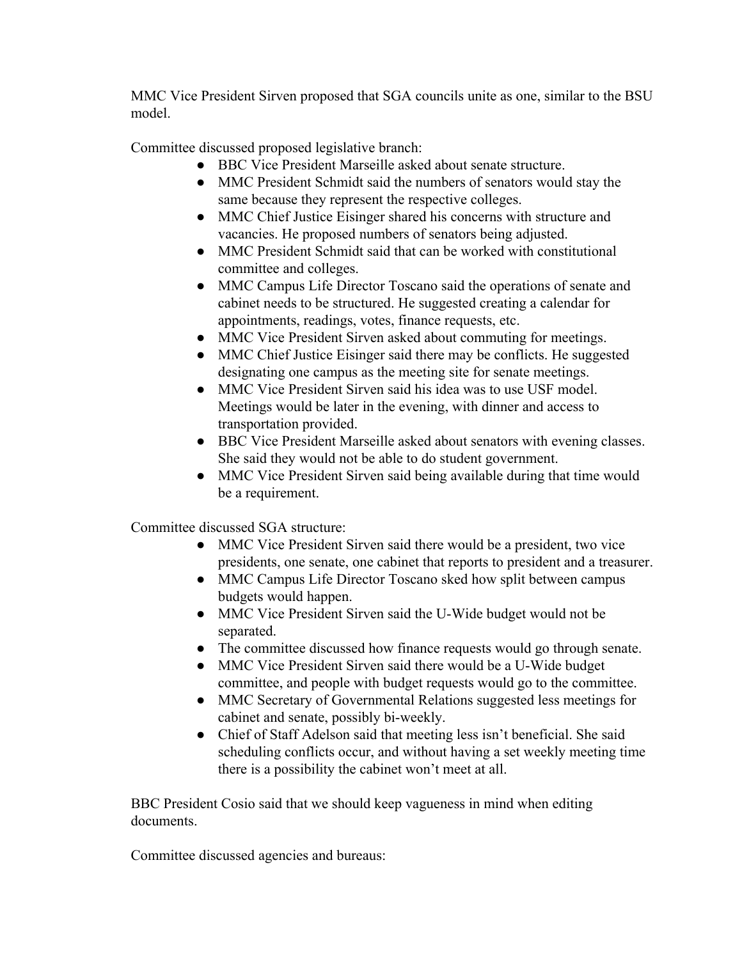MMC Vice President Sirven proposed that SGA councils unite as one, similar to the BSU model.

Committee discussed proposed legislative branch:

- BBC Vice President Marseille asked about senate structure.
- MMC President Schmidt said the numbers of senators would stay the same because they represent the respective colleges.
- MMC Chief Justice Eisinger shared his concerns with structure and vacancies. He proposed numbers of senators being adjusted.
- MMC President Schmidt said that can be worked with constitutional committee and colleges.
- MMC Campus Life Director Toscano said the operations of senate and cabinet needs to be structured. He suggested creating a calendar for appointments, readings, votes, finance requests, etc.
- MMC Vice President Sirven asked about commuting for meetings.
- MMC Chief Justice Eisinger said there may be conflicts. He suggested designating one campus as the meeting site for senate meetings.
- MMC Vice President Sirven said his idea was to use USF model. Meetings would be later in the evening, with dinner and access to transportation provided.
- BBC Vice President Marseille asked about senators with evening classes. She said they would not be able to do student government.
- MMC Vice President Sirven said being available during that time would be a requirement.

Committee discussed SGA structure:

- MMC Vice President Sirven said there would be a president, two vice presidents, one senate, one cabinet that reports to president and a treasurer.
- MMC Campus Life Director Toscano sked how split between campus budgets would happen.
- MMC Vice President Sirven said the U-Wide budget would not be separated.
- The committee discussed how finance requests would go through senate.
- MMC Vice President Sirven said there would be a U-Wide budget committee, and people with budget requests would go to the committee.
- MMC Secretary of Governmental Relations suggested less meetings for cabinet and senate, possibly bi-weekly.
- Chief of Staff Adelson said that meeting less isn't beneficial. She said scheduling conflicts occur, and without having a set weekly meeting time there is a possibility the cabinet won't meet at all.

BBC President Cosio said that we should keep vagueness in mind when editing documents.

Committee discussed agencies and bureaus: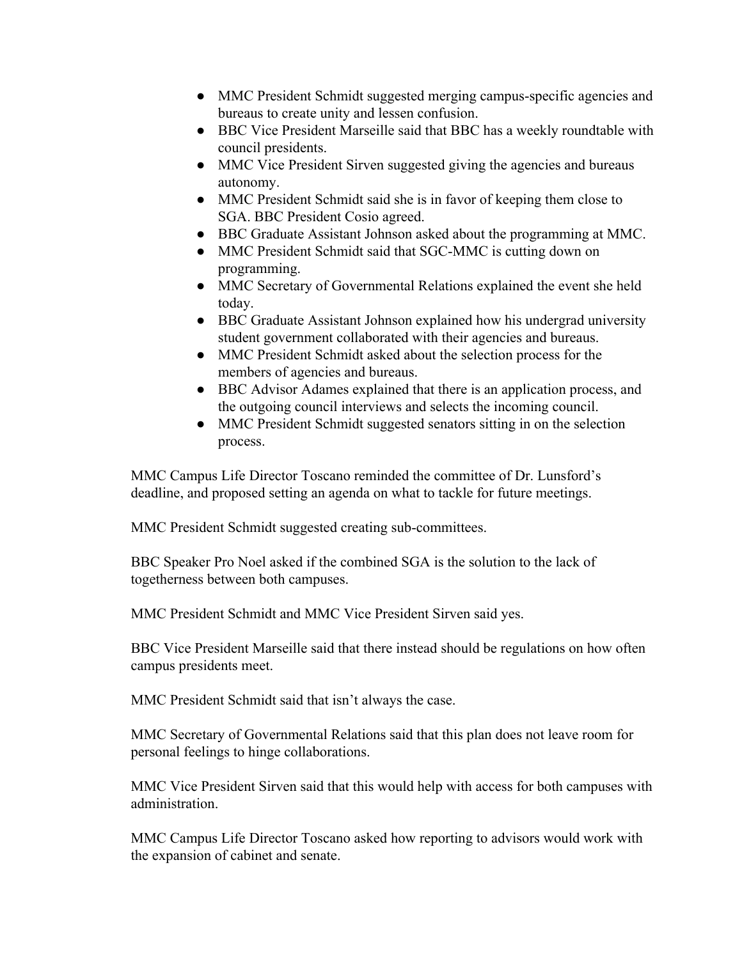- MMC President Schmidt suggested merging campus-specific agencies and bureaus to create unity and lessen confusion.
- BBC Vice President Marseille said that BBC has a weekly roundtable with council presidents.
- MMC Vice President Sirven suggested giving the agencies and bureaus autonomy.
- MMC President Schmidt said she is in favor of keeping them close to SGA. BBC President Cosio agreed.
- BBC Graduate Assistant Johnson asked about the programming at MMC.
- MMC President Schmidt said that SGC-MMC is cutting down on programming.
- MMC Secretary of Governmental Relations explained the event she held today.
- BBC Graduate Assistant Johnson explained how his undergrad university student government collaborated with their agencies and bureaus.
- MMC President Schmidt asked about the selection process for the members of agencies and bureaus.
- BBC Advisor Adames explained that there is an application process, and the outgoing council interviews and selects the incoming council.
- MMC President Schmidt suggested senators sitting in on the selection process.

MMC Campus Life Director Toscano reminded the committee of Dr. Lunsford's deadline, and proposed setting an agenda on what to tackle for future meetings.

MMC President Schmidt suggested creating sub-committees.

BBC Speaker Pro Noel asked if the combined SGA is the solution to the lack of togetherness between both campuses.

MMC President Schmidt and MMC Vice President Sirven said yes.

BBC Vice President Marseille said that there instead should be regulations on how often campus presidents meet.

MMC President Schmidt said that isn't always the case.

MMC Secretary of Governmental Relations said that this plan does not leave room for personal feelings to hinge collaborations.

MMC Vice President Sirven said that this would help with access for both campuses with administration.

MMC Campus Life Director Toscano asked how reporting to advisors would work with the expansion of cabinet and senate.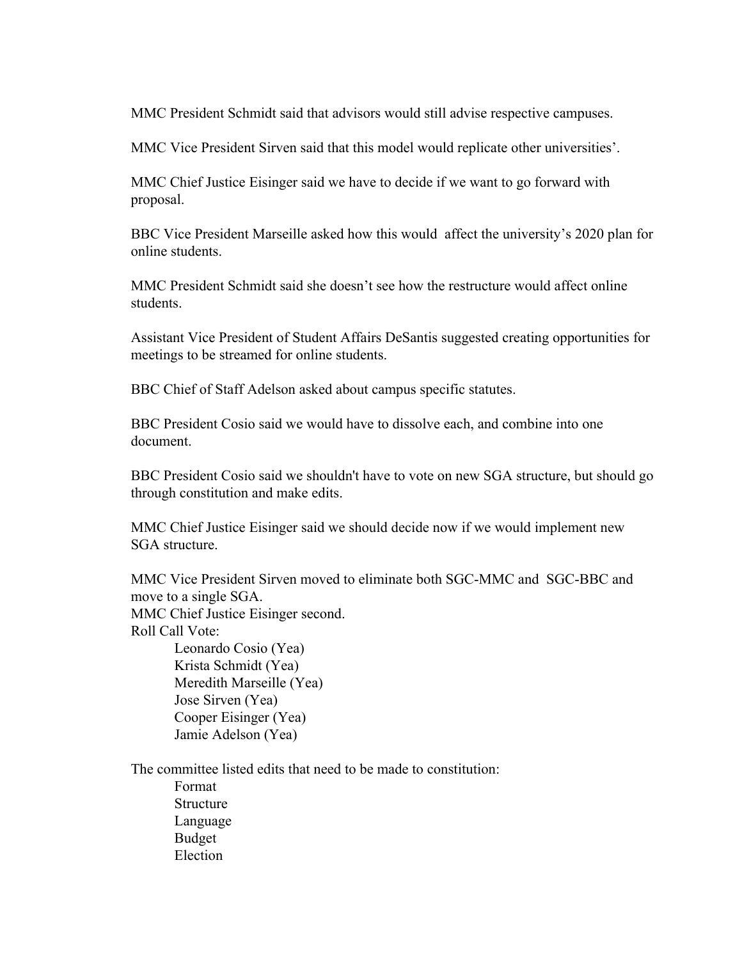MMC President Schmidt said that advisors would still advise respective campuses.

MMC Vice President Sirven said that this model would replicate other universities'.

MMC Chief Justice Eisinger said we have to decide if we want to go forward with proposal.

BBC Vice President Marseille asked how this would affect the university's 2020 plan for online students.

MMC President Schmidt said she doesn't see how the restructure would affect online students.

Assistant Vice President of Student Affairs DeSantis suggested creating opportunities for meetings to be streamed for online students.

BBC Chief of Staff Adelson asked about campus specific statutes.

BBC President Cosio said we would have to dissolve each, and combine into one document.

BBC President Cosio said we shouldn't have to vote on new SGA structure, but should go through constitution and make edits.

MMC Chief Justice Eisinger said we should decide now if we would implement new SGA structure.

MMC Vice President Sirven moved to eliminate both SGC-MMC and SGC-BBC and move to a single SGA. MMC Chief Justice Eisinger second. Roll Call Vote:

Leonardo Cosio (Yea) Krista Schmidt (Yea) Meredith Marseille (Yea) Jose Sirven (Yea) Cooper Eisinger (Yea) Jamie Adelson (Yea)

The committee listed edits that need to be made to constitution: Format Structure Language Budget Election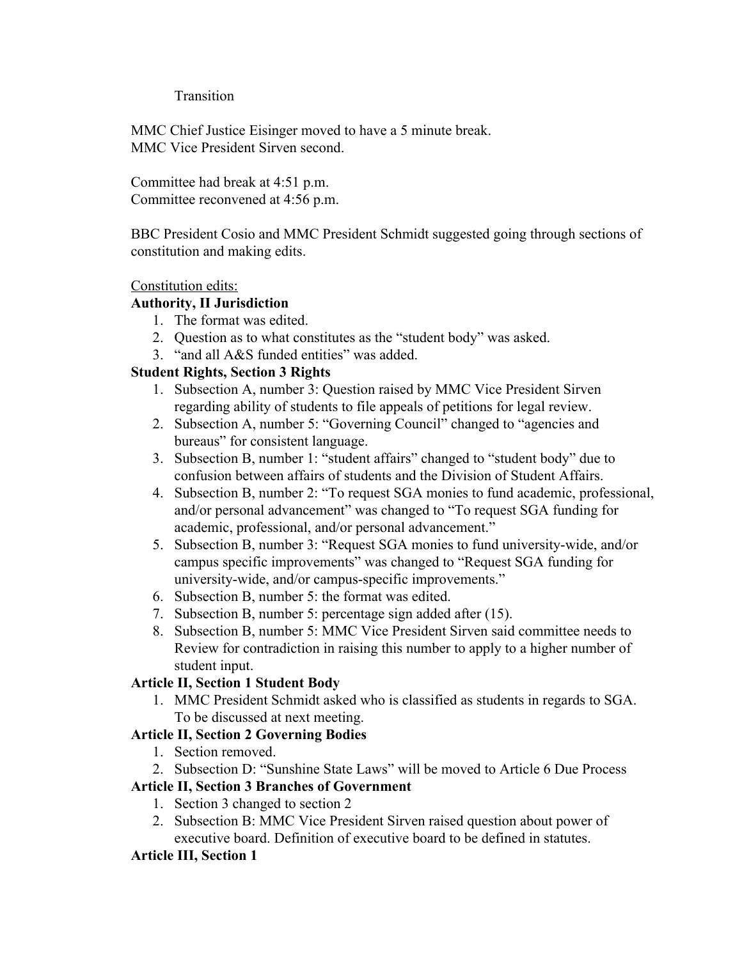#### **Transition**

MMC Chief Justice Eisinger moved to have a 5 minute break. MMC Vice President Sirven second.

Committee had break at 4:51 p.m. Committee reconvened at 4:56 p.m.

BBC President Cosio and MMC President Schmidt suggested going through sections of constitution and making edits.

#### Constitution edits:

#### **Authority, II Jurisdiction**

- 1. The format was edited.
- 2. Question as to what constitutes as the "student body" was asked.
- 3. "and all A&S funded entities" was added.

## **Student Rights, Section 3 Rights**

- 1. Subsection A, number 3: Question raised by MMC Vice President Sirven regarding ability of students to file appeals of petitions for legal review.
- 2. Subsection A, number 5: "Governing Council" changed to "agencies and bureaus" for consistent language.
- 3. Subsection B, number 1: "student affairs" changed to "student body" due to confusion between affairs of students and the Division of Student Affairs.
- 4. Subsection B, number 2: "To request SGA monies to fund academic, professional, and/or personal advancement" was changed to "To request SGA funding for academic, professional, and/or personal advancement."
- 5. Subsection B, number 3: "Request SGA monies to fund university-wide, and/or campus specific improvements" was changed to "Request SGA funding for university-wide, and/or campus-specific improvements."
- 6. Subsection B, number 5: the format was edited.
- 7. Subsection B, number 5: percentage sign added after (15).
- 8. Subsection B, number 5: MMC Vice President Sirven said committee needs to Review for contradiction in raising this number to apply to a higher number of student input.

#### **Article II, Section 1 Student Body**

1. MMC President Schmidt asked who is classified as students in regards to SGA. To be discussed at next meeting.

#### **Article II, Section 2 Governing Bodies**

- 1. Section removed.
- 2. Subsection D: "Sunshine State Laws" will be moved to Article 6 Due Process

## **Article II, Section 3 Branches of Government**

- 1. Section 3 changed to section 2
- 2. Subsection B: MMC Vice President Sirven raised question about power of executive board. Definition of executive board to be defined in statutes.

#### **Article III, Section 1**